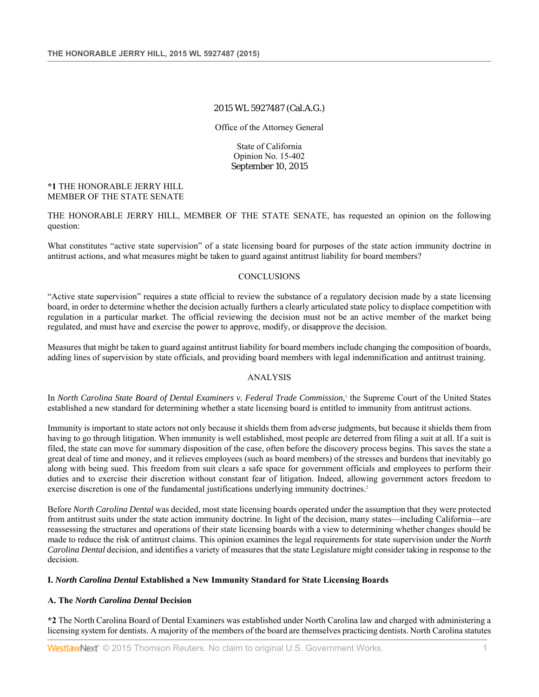# 2015 WL 5927487 (Cal.A.G.)

Office of the Attorney General

State of California Opinion No. 15-402 September 10, 2015

**\*1** THE HONORABLE JERRY HILL MEMBER OF THE STATE SENATE

THE HONORABLE JERRY HILL, MEMBER OF THE STATE SENATE, has requested an opinion on the following question:

What constitutes "active state supervision" of a state licensing board for purposes of the state action immunity doctrine in antitrust actions, and what measures might be taken to guard against antitrust liability for board members?

#### **CONCLUSIONS**

"Active state supervision" requires a state official to review the substance of a regulatory decision made by a state licensing board, in order to determine whether the decision actually furthers a clearly articulated state policy to displace competition with regulation in a particular market. The official reviewing the decision must not be an active member of the market being regulated, and must have and exercise the power to approve, modify, or disapprove the decision.

Measures that might be taken to guard against antitrust liability for board members include changing the composition of boards, adding lines of supervision by state officials, and providing board members with legal indemnification and antitrust training.

## ANALYSIS

In *North Carolina State Board of Dental Examiners v. Federal Trade Commission*,<sup>1</sup> the Supreme Court of the United States established a new standard for determining whether a state licensing board is entitled to immunity from antitrust actions.

Immunity is important to state actors not only because it shields them from adverse judgments, but because it shields them from having to go through litigation. When immunity is well established, most people are deterred from filing a suit at all. If a suit is filed, the state can move for summary disposition of the case, often before the discovery process begins. This saves the state a great deal of time and money, and it relieves employees (such as board members) of the stresses and burdens that inevitably go along with being sued. This freedom from suit clears a safe space for government officials and employees to perform their duties and to exercise their discretion without constant fear of litigation. Indeed, allowing government actors freedom to exercise discretion is one of the fundamental justifications underlying immunity doctrines.<sup>2</sup>

Before *North Carolina Dental* was decided, most state licensing boards operated under the assumption that they were protected from antitrust suits under the state action immunity doctrine. In light of the decision, many states—including California—are reassessing the structures and operations of their state licensing boards with a view to determining whether changes should be made to reduce the risk of antitrust claims. This opinion examines the legal requirements for state supervision under the *North Carolina Dental* decision, and identifies a variety of measures that the state Legislature might consider taking in response to the decision.

# **I.** *North Carolina Dental* **Established a New Immunity Standard for State Licensing Boards**

#### **A. The** *North Carolina Dental* **Decision**

**\*2** The North Carolina Board of Dental Examiners was established under North Carolina law and charged with administering a licensing system for dentists. A majority of the members of the board are themselves practicing dentists. North Carolina statutes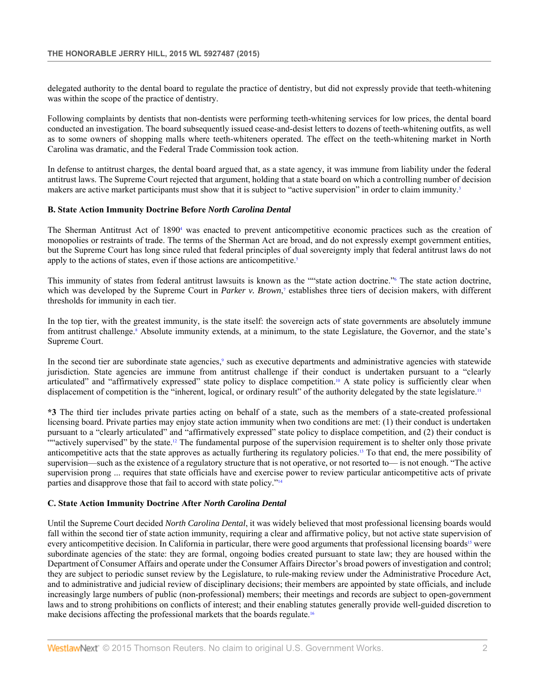delegated authority to the dental board to regulate the practice of dentistry, but did not expressly provide that teeth-whitening was within the scope of the practice of dentistry.

Following complaints by dentists that non-dentists were performing teeth-whitening services for low prices, the dental board conducted an investigation. The board subsequently issued cease-and-desist letters to dozens of teeth-whitening outfits, as well as to some owners of shopping malls where teeth-whiteners operated. The effect on the teeth-whitening market in North Carolina was dramatic, and the Federal Trade Commission took action.

In defense to antitrust charges, the dental board argued that, as a state agency, it was immune from liability under the federal antitrust laws. The Supreme Court rejected that argument, holding that a state board on which a controlling number of decision makers are active market participants must show that it is subject to "active supervision" in order to claim immunity.<sup>3</sup>

## **B. State Action Immunity Doctrine Before** *North Carolina Dental*

The Sherman Antitrust Act of 1890<sup>4</sup> was enacted to prevent anticompetitive economic practices such as the creation of monopolies or restraints of trade. The terms of the Sherman Act are broad, and do not expressly exempt government entities, but the Supreme Court has long since ruled that federal principles of dual sovereignty imply that federal antitrust laws do not apply to the actions of states, even if those actions are anticompetitive.<sup>5</sup>

This immunity of states from federal antitrust lawsuits is known as the "state action doctrine."<sup>6</sup> The state action doctrine, which was developed by the Supreme Court in *Parker v. Brown*,<sup>7</sup> establishes three tiers of decision makers, with different thresholds for immunity in each tier.

In the top tier, with the greatest immunity, is the state itself: the sovereign acts of state governments are absolutely immune from antitrust challenge.<sup>8</sup> Absolute immunity extends, at a minimum, to the state Legislature, the Governor, and the state's Supreme Court.

In the second tier are subordinate state agencies,<sup>9</sup> such as executive departments and administrative agencies with statewide jurisdiction. State agencies are immune from antitrust challenge if their conduct is undertaken pursuant to a "clearly articulated" and "affirmatively expressed" state policy to displace competition.<sup>10</sup> A state policy is sufficiently clear when displacement of competition is the "inherent, logical, or ordinary result" of the authority delegated by the state legislature.<sup>11</sup>

**\*3** The third tier includes private parties acting on behalf of a state, such as the members of a state-created professional licensing board. Private parties may enjoy state action immunity when two conditions are met: (1) their conduct is undertaken pursuant to a "clearly articulated" and "affirmatively expressed" state policy to displace competition, and (2) their conduct is ""actively supervised" by the state.<sup>12</sup> The fundamental purpose of the supervision requirement is to shelter only those private anticompetitive acts that the state approves as actually furthering its regulatory policies.13 To that end, the mere possibility of supervision—such as the existence of a regulatory structure that is not operative, or not resorted to— is not enough. "The active supervision prong ... requires that state officials have and exercise power to review particular anticompetitive acts of private parties and disapprove those that fail to accord with state policy."14

# **C. State Action Immunity Doctrine After** *North Carolina Dental*

Until the Supreme Court decided *North Carolina Dental*, it was widely believed that most professional licensing boards would fall within the second tier of state action immunity, requiring a clear and affirmative policy, but not active state supervision of every anticompetitive decision. In California in particular, there were good arguments that professional licensing boards<sup>15</sup> were subordinate agencies of the state: they are formal, ongoing bodies created pursuant to state law; they are housed within the Department of Consumer Affairs and operate under the Consumer Affairs Director's broad powers of investigation and control; they are subject to periodic sunset review by the Legislature, to rule-making review under the Administrative Procedure Act, and to administrative and judicial review of disciplinary decisions; their members are appointed by state officials, and include increasingly large numbers of public (non-professional) members; their meetings and records are subject to open-government laws and to strong prohibitions on conflicts of interest; and their enabling statutes generally provide well-guided discretion to make decisions affecting the professional markets that the boards regulate.16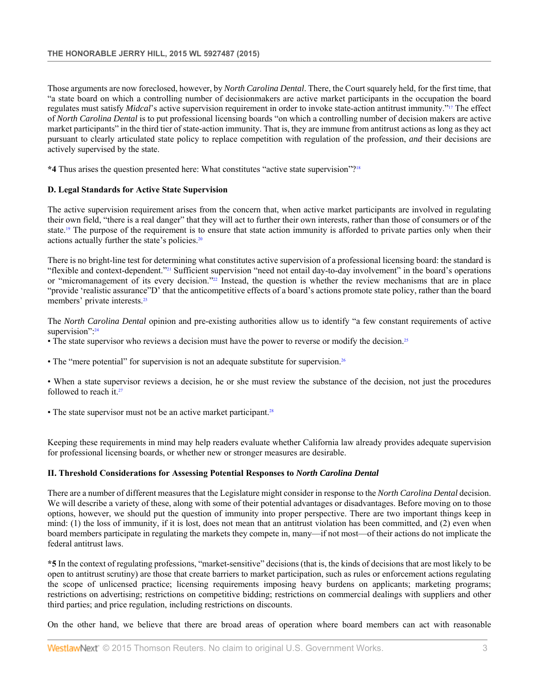Those arguments are now foreclosed, however, by *North Carolina Dental*. There, the Court squarely held, for the first time, that "a state board on which a controlling number of decisionmakers are active market participants in the occupation the board regulates must satisfy *Midcal*'s active supervision requirement in order to invoke state-action antitrust immunity."17 The effect of *North Carolina Dental* is to put professional licensing boards "on which a controlling number of decision makers are active market participants" in the third tier of state-action immunity. That is, they are immune from antitrust actions as long as they act pursuant to clearly articulated state policy to replace competition with regulation of the profession, *and* their decisions are actively supervised by the state.

**\*4** Thus arises the question presented here: What constitutes "active state supervision"?18

## **D. Legal Standards for Active State Supervision**

The active supervision requirement arises from the concern that, when active market participants are involved in regulating their own field, "there is a real danger" that they will act to further their own interests, rather than those of consumers or of the state.19 The purpose of the requirement is to ensure that state action immunity is afforded to private parties only when their actions actually further the state's policies.20

There is no bright-line test for determining what constitutes active supervision of a professional licensing board: the standard is "flexible and context-dependent."21 Sufficient supervision "need not entail day-to-day involvement" in the board's operations or "micromanagement of its every decision."<sup>22</sup> Instead, the question is whether the review mechanisms that are in place "provide 'realistic assurance"D' that the anticompetitive effects of a board's actions promote state policy, rather than the board members' private interests.23

The *North Carolina Dental* opinion and pre-existing authorities allow us to identify "a few constant requirements of active supervision":<sup>24</sup>

- The state supervisor who reviews a decision must have the power to reverse or modify the decision.<sup>25</sup>
- The "mere potential" for supervision is not an adequate substitute for supervision.<sup>26</sup>

• When a state supervisor reviews a decision, he or she must review the substance of the decision, not just the procedures followed to reach it.<sup>27</sup>

• The state supervisor must not be an active market participant.<sup>28</sup>

Keeping these requirements in mind may help readers evaluate whether California law already provides adequate supervision for professional licensing boards, or whether new or stronger measures are desirable.

#### **II. Threshold Considerations for Assessing Potential Responses to** *North Carolina Dental*

There are a number of different measures that the Legislature might consider in response to the *North Carolina Dental* decision. We will describe a variety of these, along with some of their potential advantages or disadvantages. Before moving on to those options, however, we should put the question of immunity into proper perspective. There are two important things keep in mind: (1) the loss of immunity, if it is lost, does not mean that an antitrust violation has been committed, and (2) even when board members participate in regulating the markets they compete in, many—if not most—of their actions do not implicate the federal antitrust laws.

**\*5** In the context of regulating professions, "market-sensitive" decisions (that is, the kinds of decisions that are most likely to be open to antitrust scrutiny) are those that create barriers to market participation, such as rules or enforcement actions regulating the scope of unlicensed practice; licensing requirements imposing heavy burdens on applicants; marketing programs; restrictions on advertising; restrictions on competitive bidding; restrictions on commercial dealings with suppliers and other third parties; and price regulation, including restrictions on discounts.

On the other hand, we believe that there are broad areas of operation where board members can act with reasonable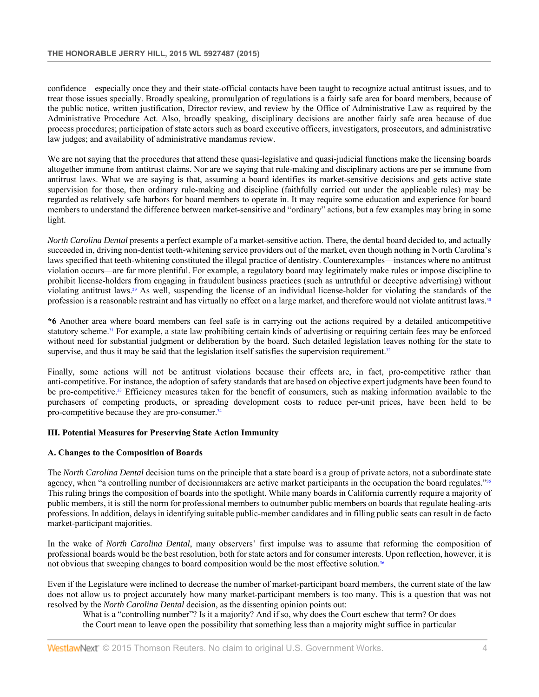confidence—especially once they and their state-official contacts have been taught to recognize actual antitrust issues, and to treat those issues specially. Broadly speaking, promulgation of regulations is a fairly safe area for board members, because of the public notice, written justification, Director review, and review by the Office of Administrative Law as required by the Administrative Procedure Act. Also, broadly speaking, disciplinary decisions are another fairly safe area because of due process procedures; participation of state actors such as board executive officers, investigators, prosecutors, and administrative law judges; and availability of administrative mandamus review.

We are not saying that the procedures that attend these quasi-legislative and quasi-judicial functions make the licensing boards altogether immune from antitrust claims. Nor are we saying that rule-making and disciplinary actions are per se immune from antitrust laws. What we are saying is that, assuming a board identifies its market-sensitive decisions and gets active state supervision for those, then ordinary rule-making and discipline (faithfully carried out under the applicable rules) may be regarded as relatively safe harbors for board members to operate in. It may require some education and experience for board members to understand the difference between market-sensitive and "ordinary" actions, but a few examples may bring in some light.

*North Carolina Dental* presents a perfect example of a market-sensitive action. There, the dental board decided to, and actually succeeded in, driving non-dentist teeth-whitening service providers out of the market, even though nothing in North Carolina's laws specified that teeth-whitening constituted the illegal practice of dentistry. Counterexamples—instances where no antitrust violation occurs—are far more plentiful. For example, a regulatory board may legitimately make rules or impose discipline to prohibit license-holders from engaging in fraudulent business practices (such as untruthful or deceptive advertising) without violating antitrust laws.29 As well, suspending the license of an individual license-holder for violating the standards of the profession is a reasonable restraint and has virtually no effect on a large market, and therefore would not violate antitrust laws.<sup>30</sup>

**\*6** Another area where board members can feel safe is in carrying out the actions required by a detailed anticompetitive statutory scheme.31 For example, a state law prohibiting certain kinds of advertising or requiring certain fees may be enforced without need for substantial judgment or deliberation by the board. Such detailed legislation leaves nothing for the state to supervise, and thus it may be said that the legislation itself satisfies the supervision requirement.<sup>32</sup>

Finally, some actions will not be antitrust violations because their effects are, in fact, pro-competitive rather than anti-competitive. For instance, the adoption of safety standards that are based on objective expert judgments have been found to be pro-competitive.<sup>33</sup> Efficiency measures taken for the benefit of consumers, such as making information available to the purchasers of competing products, or spreading development costs to reduce per-unit prices, have been held to be pro-competitive because they are pro-consumer.<sup>34</sup>

# **III. Potential Measures for Preserving State Action Immunity**

#### **A. Changes to the Composition of Boards**

The *North Carolina Dental* decision turns on the principle that a state board is a group of private actors, not a subordinate state agency, when "a controlling number of decisionmakers are active market participants in the occupation the board regulates."<sup>35</sup> This ruling brings the composition of boards into the spotlight. While many boards in California currently require a majority of public members, it is still the norm for professional members to outnumber public members on boards that regulate healing-arts professions. In addition, delays in identifying suitable public-member candidates and in filling public seats can result in de facto market-participant majorities.

In the wake of *North Carolina Dental*, many observers' first impulse was to assume that reforming the composition of professional boards would be the best resolution, both for state actors and for consumer interests. Upon reflection, however, it is not obvious that sweeping changes to board composition would be the most effective solution.36

Even if the Legislature were inclined to decrease the number of market-participant board members, the current state of the law does not allow us to project accurately how many market-participant members is too many. This is a question that was not resolved by the *North Carolina Dental* decision, as the dissenting opinion points out:

What is a "controlling number"? Is it a majority? And if so, why does the Court eschew that term? Or does the Court mean to leave open the possibility that something less than a majority might suffice in particular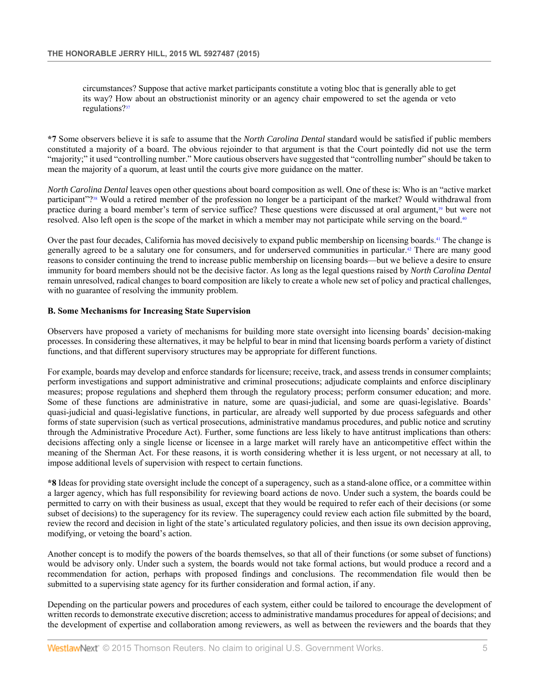circumstances? Suppose that active market participants constitute a voting bloc that is generally able to get its way? How about an obstructionist minority or an agency chair empowered to set the agenda or veto regulations?<sup>37</sup>

**\*7** Some observers believe it is safe to assume that the *North Carolina Dental* standard would be satisfied if public members constituted a majority of a board. The obvious rejoinder to that argument is that the Court pointedly did not use the term "majority;" it used "controlling number." More cautious observers have suggested that "controlling number" should be taken to mean the majority of a quorum, at least until the courts give more guidance on the matter.

*North Carolina Dental* leaves open other questions about board composition as well. One of these is: Who is an "active market participant"?38 Would a retired member of the profession no longer be a participant of the market? Would withdrawal from practice during a board member's term of service suffice? These questions were discussed at oral argument,39 but were not resolved. Also left open is the scope of the market in which a member may not participate while serving on the board.<sup>40</sup>

Over the past four decades, California has moved decisively to expand public membership on licensing boards.41 The change is generally agreed to be a salutary one for consumers, and for underserved communities in particular.<sup>42</sup> There are many good reasons to consider continuing the trend to increase public membership on licensing boards—but we believe a desire to ensure immunity for board members should not be the decisive factor. As long as the legal questions raised by *North Carolina Dental* remain unresolved, radical changes to board composition are likely to create a whole new set of policy and practical challenges, with no guarantee of resolving the immunity problem.

## **B. Some Mechanisms for Increasing State Supervision**

Observers have proposed a variety of mechanisms for building more state oversight into licensing boards' decision-making processes. In considering these alternatives, it may be helpful to bear in mind that licensing boards perform a variety of distinct functions, and that different supervisory structures may be appropriate for different functions.

For example, boards may develop and enforce standards for licensure; receive, track, and assess trends in consumer complaints; perform investigations and support administrative and criminal prosecutions; adjudicate complaints and enforce disciplinary measures; propose regulations and shepherd them through the regulatory process; perform consumer education; and more. Some of these functions are administrative in nature, some are quasi-judicial, and some are quasi-legislative. Boards' quasi-judicial and quasi-legislative functions, in particular, are already well supported by due process safeguards and other forms of state supervision (such as vertical prosecutions, administrative mandamus procedures, and public notice and scrutiny through the Administrative Procedure Act). Further, some functions are less likely to have antitrust implications than others: decisions affecting only a single license or licensee in a large market will rarely have an anticompetitive effect within the meaning of the Sherman Act. For these reasons, it is worth considering whether it is less urgent, or not necessary at all, to impose additional levels of supervision with respect to certain functions.

**\*8** Ideas for providing state oversight include the concept of a superagency, such as a stand-alone office, or a committee within a larger agency, which has full responsibility for reviewing board actions de novo. Under such a system, the boards could be permitted to carry on with their business as usual, except that they would be required to refer each of their decisions (or some subset of decisions) to the superagency for its review. The superagency could review each action file submitted by the board, review the record and decision in light of the state's articulated regulatory policies, and then issue its own decision approving, modifying, or vetoing the board's action.

Another concept is to modify the powers of the boards themselves, so that all of their functions (or some subset of functions) would be advisory only. Under such a system, the boards would not take formal actions, but would produce a record and a recommendation for action, perhaps with proposed findings and conclusions. The recommendation file would then be submitted to a supervising state agency for its further consideration and formal action, if any.

Depending on the particular powers and procedures of each system, either could be tailored to encourage the development of written records to demonstrate executive discretion; access to administrative mandamus procedures for appeal of decisions; and the development of expertise and collaboration among reviewers, as well as between the reviewers and the boards that they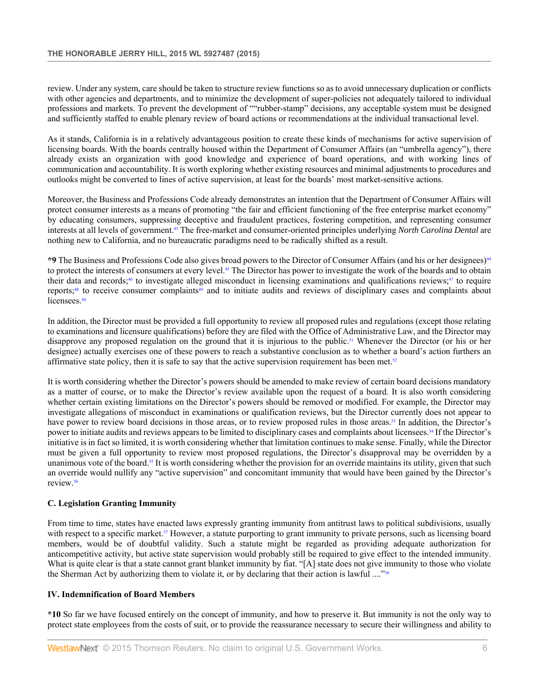review. Under any system, care should be taken to structure review functions so as to avoid unnecessary duplication or conflicts with other agencies and departments, and to minimize the development of super-policies not adequately tailored to individual professions and markets. To prevent the development of ""rubber-stamp" decisions, any acceptable system must be designed and sufficiently staffed to enable plenary review of board actions or recommendations at the individual transactional level.

As it stands, California is in a relatively advantageous position to create these kinds of mechanisms for active supervision of licensing boards. With the boards centrally housed within the Department of Consumer Affairs (an "umbrella agency"), there already exists an organization with good knowledge and experience of board operations, and with working lines of communication and accountability. It is worth exploring whether existing resources and minimal adjustments to procedures and outlooks might be converted to lines of active supervision, at least for the boards' most market-sensitive actions.

Moreover, the Business and Professions Code already demonstrates an intention that the Department of Consumer Affairs will protect consumer interests as a means of promoting "the fair and efficient functioning of the free enterprise market economy" by educating consumers, suppressing deceptive and fraudulent practices, fostering competition, and representing consumer interests at all levels of government.43 The free-market and consumer-oriented principles underlying *North Carolina Dental* are nothing new to California, and no bureaucratic paradigms need to be radically shifted as a result.

**\*9** The Business and Professions Code also gives broad powers to the Director of Consumer Affairs (and his or her designees)44 to protect the interests of consumers at every level.<sup>45</sup> The Director has power to investigate the work of the boards and to obtain their data and records;46 to investigate alleged misconduct in licensing examinations and qualifications reviews;47 to require reports;48 to receive consumer complaints49 and to initiate audits and reviews of disciplinary cases and complaints about licensees.<sup>50</sup>

In addition, the Director must be provided a full opportunity to review all proposed rules and regulations (except those relating to examinations and licensure qualifications) before they are filed with the Office of Administrative Law, and the Director may disapprove any proposed regulation on the ground that it is injurious to the public.51 Whenever the Director (or his or her designee) actually exercises one of these powers to reach a substantive conclusion as to whether a board's action furthers an affirmative state policy, then it is safe to say that the active supervision requirement has been met. $52$ 

It is worth considering whether the Director's powers should be amended to make review of certain board decisions mandatory as a matter of course, or to make the Director's review available upon the request of a board. It is also worth considering whether certain existing limitations on the Director's powers should be removed or modified. For example, the Director may investigate allegations of misconduct in examinations or qualification reviews, but the Director currently does not appear to have power to review board decisions in those areas, or to review proposed rules in those areas.<sup>53</sup> In addition, the Director's power to initiate audits and reviews appears to be limited to disciplinary cases and complaints about licensees.54 If the Director's initiative is in fact so limited, it is worth considering whether that limitation continues to make sense. Finally, while the Director must be given a full opportunity to review most proposed regulations, the Director's disapproval may be overridden by a unanimous vote of the board.<sup>55</sup> It is worth considering whether the provision for an override maintains its utility, given that such an override would nullify any "active supervision" and concomitant immunity that would have been gained by the Director's review.56

# **C. Legislation Granting Immunity**

From time to time, states have enacted laws expressly granting immunity from antitrust laws to political subdivisions, usually with respect to a specific market.<sup>57</sup> However, a statute purporting to grant immunity to private persons, such as licensing board members, would be of doubtful validity. Such a statute might be regarded as providing adequate authorization for anticompetitive activity, but active state supervision would probably still be required to give effect to the intended immunity. What is quite clear is that a state cannot grant blanket immunity by fiat. "[A] state does not give immunity to those who violate the Sherman Act by authorizing them to violate it, or by declaring that their action is lawful ...."58

## **IV. Indemnification of Board Members**

**\*10** So far we have focused entirely on the concept of immunity, and how to preserve it. But immunity is not the only way to protect state employees from the costs of suit, or to provide the reassurance necessary to secure their willingness and ability to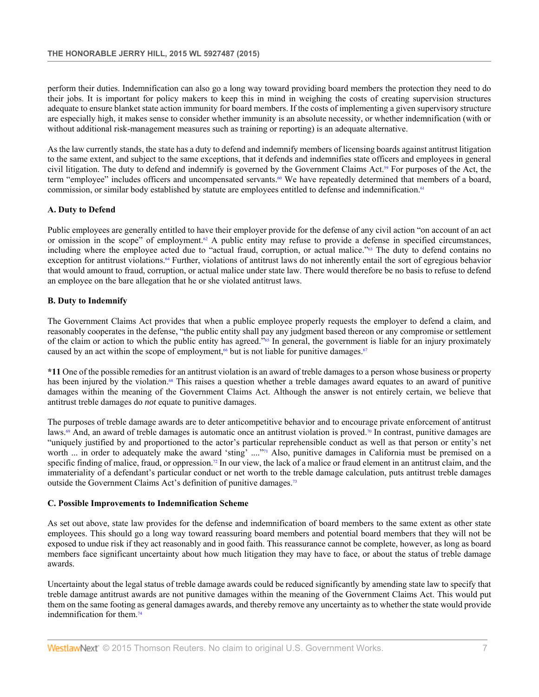perform their duties. Indemnification can also go a long way toward providing board members the protection they need to do their jobs. It is important for policy makers to keep this in mind in weighing the costs of creating supervision structures adequate to ensure blanket state action immunity for board members. If the costs of implementing a given supervisory structure are especially high, it makes sense to consider whether immunity is an absolute necessity, or whether indemnification (with or without additional risk-management measures such as training or reporting) is an adequate alternative.

As the law currently stands, the state has a duty to defend and indemnify members of licensing boards against antitrust litigation to the same extent, and subject to the same exceptions, that it defends and indemnifies state officers and employees in general civil litigation. The duty to defend and indemnify is governed by the Government Claims Act.59 For purposes of the Act, the term "employee" includes officers and uncompensated servants.<sup>60</sup> We have repeatedly determined that members of a board, commission, or similar body established by statute are employees entitled to defense and indemnification.<sup>61</sup>

## **A. Duty to Defend**

Public employees are generally entitled to have their employer provide for the defense of any civil action "on account of an act or omission in the scope" of employment.<sup>62</sup> A public entity may refuse to provide a defense in specified circumstances, including where the employee acted due to "actual fraud, corruption, or actual malice."63 The duty to defend contains no exception for antitrust violations.<sup>64</sup> Further, violations of antitrust laws do not inherently entail the sort of egregious behavior that would amount to fraud, corruption, or actual malice under state law. There would therefore be no basis to refuse to defend an employee on the bare allegation that he or she violated antitrust laws.

## **B. Duty to Indemnify**

The Government Claims Act provides that when a public employee properly requests the employer to defend a claim, and reasonably cooperates in the defense, "the public entity shall pay any judgment based thereon or any compromise or settlement of the claim or action to which the public entity has agreed."65 In general, the government is liable for an injury proximately caused by an act within the scope of employment,<sup>66</sup> but is not liable for punitive damages.<sup>67</sup>

**\*11** One of the possible remedies for an antitrust violation is an award of treble damages to a person whose business or property has been injured by the violation.<sup>68</sup> This raises a question whether a treble damages award equates to an award of punitive damages within the meaning of the Government Claims Act. Although the answer is not entirely certain, we believe that antitrust treble damages do *not* equate to punitive damages.

The purposes of treble damage awards are to deter anticompetitive behavior and to encourage private enforcement of antitrust laws.<sup>69</sup> And, an award of treble damages is automatic once an antitrust violation is proved.<sup>70</sup> In contrast, punitive damages are "uniquely justified by and proportioned to the actor's particular reprehensible conduct as well as that person or entity's net worth ... in order to adequately make the award 'sting' ...."<sup>71</sup> Also, punitive damages in California must be premised on a specific finding of malice, fraud, or oppression.<sup>72</sup> In our view, the lack of a malice or fraud element in an antitrust claim, and the immateriality of a defendant's particular conduct or net worth to the treble damage calculation, puts antitrust treble damages outside the Government Claims Act's definition of punitive damages.73

#### **C. Possible Improvements to Indemnification Scheme**

As set out above, state law provides for the defense and indemnification of board members to the same extent as other state employees. This should go a long way toward reassuring board members and potential board members that they will not be exposed to undue risk if they act reasonably and in good faith. This reassurance cannot be complete, however, as long as board members face significant uncertainty about how much litigation they may have to face, or about the status of treble damage awards.

Uncertainty about the legal status of treble damage awards could be reduced significantly by amending state law to specify that treble damage antitrust awards are not punitive damages within the meaning of the Government Claims Act. This would put them on the same footing as general damages awards, and thereby remove any uncertainty as to whether the state would provide indemnification for them.74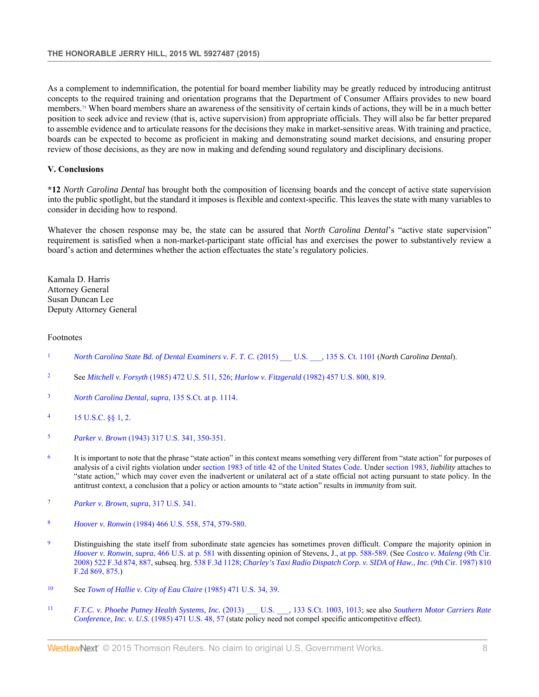As a complement to indemnification, the potential for board member liability may be greatly reduced by introducing antitrust concepts to the required training and orientation programs that the Department of Consumer Affairs provides to new board members.<sup>75</sup> When board members share an awareness of the sensitivity of certain kinds of actions, they will be in a much better position to seek advice and review (that is, active supervision) from appropriate officials. They will also be far better prepared to assemble evidence and to articulate reasons for the decisions they make in market-sensitive areas. With training and practice, boards can be expected to become as proficient in making and demonstrating sound market decisions, and ensuring proper review of those decisions, as they are now in making and defending sound regulatory and disciplinary decisions.

## **V. Conclusions**

**\*12** *North Carolina Dental* has brought both the composition of licensing boards and the concept of active state supervision into the public spotlight, but the standard it imposes is flexible and context-specific. This leaves the state with many variables to consider in deciding how to respond.

Whatever the chosen response may be, the state can be assured that *North Carolina Dental*'s "active state supervision" requirement is satisfied when a non-market-participant state official has and exercises the power to substantively review a board's action and determines whether the action effectuates the state's regulatory policies.

Kamala D. Harris Attorney General Susan Duncan Lee Deputy Attorney General

#### Footnotes

- <sup>1</sup> *North Carolina State Bd. of Dental Examiners v. F. T. C.* (2015) \_\_\_ U.S. \_\_\_, 135 S. Ct. 1101 (*North Carolina Dental*).
- <sup>2</sup> See *Mitchell v. Forsyth* (1985) 472 U.S. 511, 526; *Harlow v. Fitzgerald* (1982) 457 U.S. 800, 819.
- <sup>3</sup> *North Carolina Dental, supra*, 135 S.Ct. at p. 1114.
- <sup>4</sup> 15 U.S.C. §§ 1, 2.
- <sup>5</sup> *Parker v. Brown* (1943) 317 U.S. 341, 350-351.
- <sup>6</sup> It is important to note that the phrase "state action" in this context means something very different from "state action" for purposes of analysis of a civil rights violation under section 1983 of title 42 of the United States Code. Under section 1983, *liability* attaches to "state action," which may cover even the inadvertent or unilateral act of a state official not acting pursuant to state policy. In the antitrust context, a conclusion that a policy or action amounts to "state action" results in *immunity* from suit.
- <sup>7</sup> *Parker v. Brown*, *supra*, 317 U.S. 341.
- <sup>8</sup> *Hoover v. Ronwin* (1984) 466 U.S. 558, 574, 579-580.
- <sup>9</sup> Distinguishing the state itself from subordinate state agencies has sometimes proven difficult. Compare the majority opinion in *Hoover v. Ronwin*, *supra*, 466 U.S. at p. 581 with dissenting opinion of Stevens, J., at pp. 588-589. (See *Costco v. Maleng* (9th Cir. 2008) 522 F.3d 874, 887, subseq. hrg. 538 F.3d 1128; *Charley's Taxi Radio Dispatch Corp. v. SIDA of Haw., Inc.* (9th Cir. 1987) 810 F.2d 869, 875.)
- <sup>10</sup> See *Town of Hallie v. City of Eau Claire* (1985) 471 U.S. 34, 39.
- <sup>11</sup> *F.T.C. v. Phoebe Putney Health Systems, Inc.* (2013) \_\_\_ U.S. \_\_\_, 133 S.Ct. 1003, 1013; see also *Southern Motor Carriers Rate Conference, Inc. v. U.S.* (1985) 471 U.S. 48, 57 (state policy need not compel specific anticompetitive effect).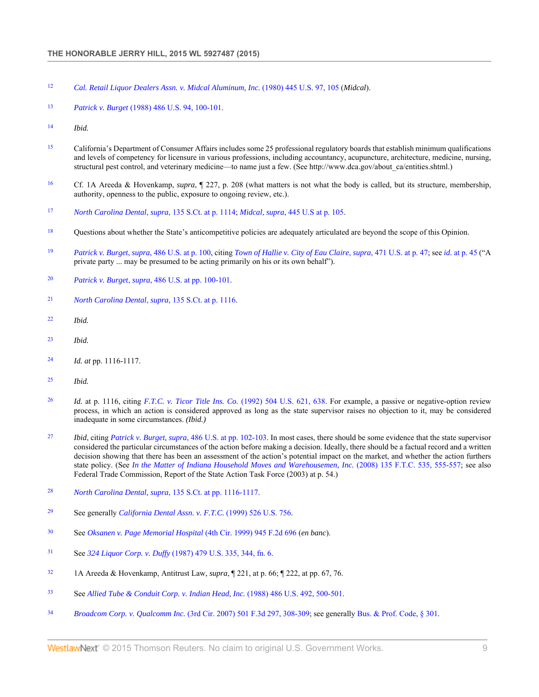- *Cal. Retail Liquor Dealers Assn. v. Midcal Aluminum, Inc.* (1980) 445 U.S. 97, 105 (*Midcal*).
- *Patrick v. Burget* (1988) 486 U.S. 94, 100-101.
- *Ibid.*
- California's Department of Consumer Affairs includes some 25 professional regulatory boards that establish minimum qualifications and levels of competency for licensure in various professions, including accountancy, acupuncture, architecture, medicine, nursing, structural pest control, and veterinary medicine—to name just a few. (See http://www.dca.gov/about\_ca/entities.shtml.)
- Cf. 1A Areeda & Hovenkamp, *supra*, ¶ 227, p. 208 (what matters is not what the body is called, but its structure, membership, authority, openness to the public, exposure to ongoing review, etc.).
- *North Carolina Dental*, *supra*, 135 S.Ct. at p. 1114; *Midcal*, *supra*, 445 U.S at p. 105.
- Questions about whether the State's anticompetitive policies are adequately articulated are beyond the scope of this Opinion.
- *Patrick v. Burget*, *supra*, 486 U.S. at p. 100, citing *Town of Hallie v. City of Eau Claire*, *supra*, 471 U.S. at p. 47; see *id.* at p. 45 ("A private party ... may be presumed to be acting primarily on his or its own behalf").
- *Patrick v. Burget*, *supra*, 486 U.S. at pp. 100-101.
- *North Carolina Dental*, *supra*, 135 S.Ct. at p. 1116.
- *Ibid.*
- *Ibid.*
- *Id. at* pp. 1116-1117.
- *Ibid.*
- *Id.* at p. 1116, citing *F.T.C. v. Ticor Title Ins. Co.* (1992) 504 U.S. 621, 638. For example, a passive or negative-option review process, in which an action is considered approved as long as the state supervisor raises no objection to it, may be considered inadequate in some circumstances. *(Ibid.)*
- *Ibid*, citing *Patrick v. Burget, supra*, 486 U.S. at pp. 102-103. In most cases, there should be some evidence that the state supervisor considered the particular circumstances of the action before making a decision. Ideally, there should be a factual record and a written decision showing that there has been an assessment of the action's potential impact on the market, and whether the action furthers state policy. (See *In the Matter of Indiana Household Moves and Warehousemen, Inc.* (2008) 135 F.T.C. 535, 555-557; see also Federal Trade Commission, Report of the State Action Task Force (2003) at p. 54.)
- *North Carolina Dental, supra*, 135 S.Ct. at pp. 1116-1117.
- See generally *California Dental Assn. v. F.T.C.* (1999) 526 U.S. 756.
- See *Oksanen v. Page Memorial Hospital* (4th Cir. 1999) 945 F.2d 696 (*en banc*).
- See *324 Liquor Corp. v. Duffy* (1987) 479 U.S. 335, 344, fn. 6.
- 1A Areeda & Hovenkamp, Antitrust Law, *supra*, ¶ 221, at p. 66; ¶ 222, at pp. 67, 76.
- See *Allied Tube & Conduit Corp. v. Indian Head, Inc.* (1988) 486 U.S. 492, 500-501.
- *Broadcom Corp. v. Qualcomm Inc.* (3rd Cir. 2007) 501 F.3d 297, 308-309; see generally Bus. & Prof. Code, § 301.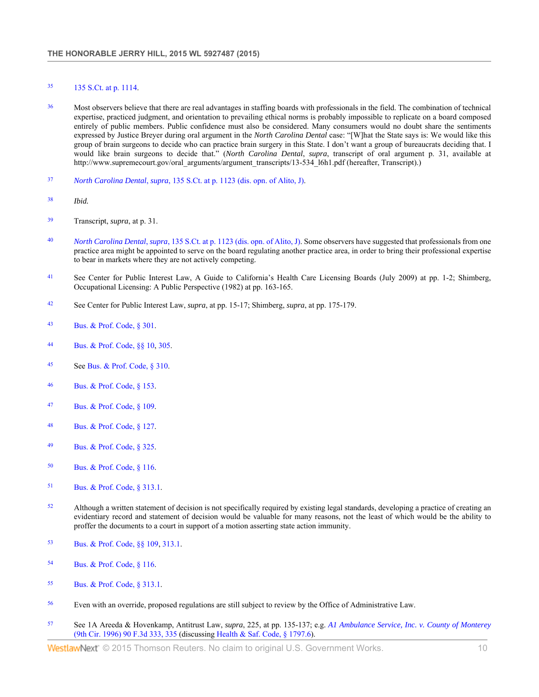# <sup>35</sup> 135 S.Ct. at p. 1114.

- <sup>36</sup> Most observers believe that there are real advantages in staffing boards with professionals in the field. The combination of technical expertise, practiced judgment, and orientation to prevailing ethical norms is probably impossible to replicate on a board composed entirely of public members. Public confidence must also be considered. Many consumers would no doubt share the sentiments expressed by Justice Breyer during oral argument in the *North Carolina Dental* case: "[W]hat the State says is: We would like this group of brain surgeons to decide who can practice brain surgery in this State. I don't want a group of bureaucrats deciding that. I would like brain surgeons to decide that." (*North Carolina Dental*, *supra*, transcript of oral argument p. 31, available at http://www.supremecourt.gov/oral\_arguments/argument\_transcripts/13-534\_l6h1.pdf (hereafter, Transcript).)
- <sup>37</sup> *North Carolina Dental*, *supra*, 135 S.Ct. at p. 1123 (dis. opn. of Alito, J).
- <sup>38</sup> *Ibid.*
- <sup>39</sup> Transcript, *supra*, at p. 31.
- <sup>40</sup> *North Carolina Dental*, *supra*, 135 S.Ct. at p. 1123 (dis. opn. of Alito, J). Some observers have suggested that professionals from one practice area might be appointed to serve on the board regulating another practice area, in order to bring their professional expertise to bear in markets where they are not actively competing.
- <sup>41</sup> See Center for Public Interest Law, A Guide to California's Health Care Licensing Boards (July 2009) at pp. 1-2; Shimberg, Occupational Licensing: A Public Perspective (1982) at pp. 163-165.
- <sup>42</sup> See Center for Public Interest Law, *supra*, at pp. 15-17; Shimberg, *supra*, at pp. 175-179.
- <sup>43</sup> Bus. & Prof. Code, § 301.
- <sup>44</sup> Bus. & Prof. Code, §§ 10, 305.
- <sup>45</sup> See Bus. & Prof. Code, § 310.
- <sup>46</sup> Bus. & Prof. Code, § 153.
- <sup>47</sup> Bus. & Prof. Code, § 109.
- <sup>48</sup> Bus. & Prof. Code, § 127.
- <sup>49</sup> Bus. & Prof. Code, § 325.
- <sup>50</sup> Bus. & Prof. Code, § 116.
- <sup>51</sup> Bus. & Prof. Code, § 313.1.
- <sup>52</sup> Although a written statement of decision is not specifically required by existing legal standards, developing a practice of creating an evidentiary record and statement of decision would be valuable for many reasons, not the least of which would be the ability to proffer the documents to a court in support of a motion asserting state action immunity.
- <sup>53</sup> Bus. & Prof. Code, §§ 109, 313.1.
- <sup>54</sup> Bus. & Prof. Code, § 116.
- <sup>55</sup> Bus. & Prof. Code, § 313.1.
- <sup>56</sup> Even with an override, proposed regulations are still subject to review by the Office of Administrative Law.
- <sup>57</sup> See 1A Areeda & Hovenkamp, Antitrust Law, *supra*, 225, at pp. 135-137; e.g. *A1 Ambulance Service, Inc. v. County of Monterey* (9th Cir. 1996) 90 F.3d 333, 335 (discussing Health & Saf. Code, § 1797.6).